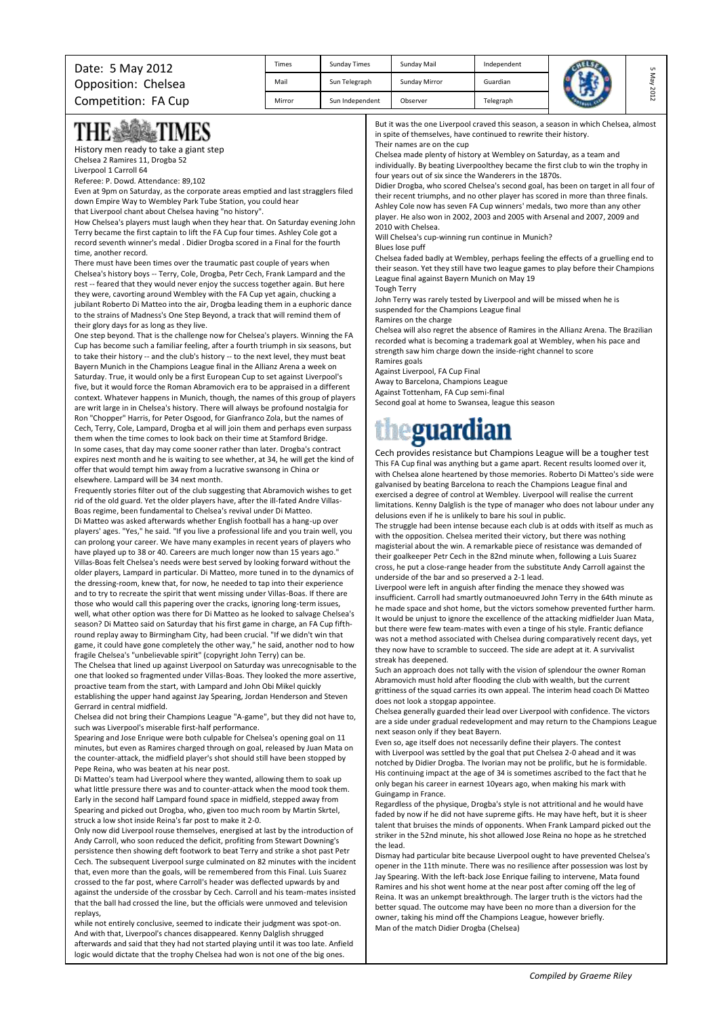| Date: 5 May 2012    | <b>Times</b> | Sunday Times    | Sundav Mail   | Independent | <b>UT</b> |
|---------------------|--------------|-----------------|---------------|-------------|-----------|
| Opposition: Chelsea | Mail         | Sun Telegraph   | Sunday Mirror | Guardian    | $\sim$    |
| Competition: FA Cup | Mirror       | Sun Independent | Observer      | Telegraph   | $\sim$    |

## **THE SALES** TIMES

History men ready to take a giant step Chelsea 2 Ramires 11, Drogba 52

Liverpool 1 Carroll 64

Referee: P. Dowd. Attendance: 89,102

Even at 9pm on Saturday, as the corporate areas emptied and last stragglers filed down Empire Way to Wembley Park Tube Station, you could hear

that Liverpool chant about Chelsea having "no history".

How Chelsea's players must laugh when they hear that. On Saturday evening John Terry became the first captain to lift the FA Cup four times. Ashley Cole got a record seventh winner's medal . Didier Drogba scored in a Final for the fourth time, another record.

There must have been times over the traumatic past couple of years when Chelsea's history boys -- Terry, Cole, Drogba, Petr Cech, Frank Lampard and the rest -- feared that they would never enjoy the success together again. But here they were, cavorting around Wembley with the FA Cup yet again, chucking a jubilant Roberto Di Matteo into the air, Drogba leading them in a euphoric dance to the strains of Madness's One Step Beyond, a track that will remind them of their glory days for as long as they live.

One step beyond. That is the challenge now for Chelsea's players. Winning the FA Cup has become such a familiar feeling, after a fourth triumph in six seasons, but to take their history -- and the club's history -- to the next level, they must beat Bayern Munich in the Champions League final in the Allianz Arena a week on Saturday. True, it would only be a first European Cup to set against Liverpool's five, but it would force the Roman Abramovich era to be appraised in a different context. Whatever happens in Munich, though, the names of this group of players are writ large in in Chelsea's history. There will always be profound nostalgia for Ron "Chopper" Harris, for Peter Osgood, for Gianfranco Zola, but the names of Cech, Terry, Cole, Lampard, Drogba et al will join them and perhaps even surpass them when the time comes to look back on their time at Stamford Bridge. In some cases, that day may come sooner rather than later. Drogba's contract expires next month and he is waiting to see whether, at 34, he will get the kind of offer that would tempt him away from a lucrative swansong in China or elsewhere. Lampard will be 34 next month.

Frequently stories filter out of the club suggesting that Abramovich wishes to get rid of the old guard. Yet the older players have, after the ill-fated Andre Villas-Boas regime, been fundamental to Chelsea's revival under Di Matteo. Di Matteo was asked afterwards whether English football has a hang-up over players' ages. "Yes," he said. "If you live a professional life and you train well, you can prolong your career. We have many examples in recent years of players who have played up to 38 or 40. Careers are much longer now than 15 years ago." Villas-Boas felt Chelsea's needs were best served by looking forward without the older players, Lampard in particular. Di Matteo, more tuned in to the dynamics of the dressing-room, knew that, for now, he needed to tap into their experience and to try to recreate the spirit that went missing under Villas-Boas. If there are those who would call this papering over the cracks, ignoring long-term issues, well, what other option was there for Di Matteo as he looked to salvage Chelsea's season? Di Matteo said on Saturday that his first game in charge, an FA Cup fifthround replay away to Birmingham City, had been crucial. "If we didn't win that game, it could have gone completely the other way," he said, another nod to how fragile Chelsea's "unbelievable spirit" (copyright John Terry) can be.

The Chelsea that lined up against Liverpool on Saturday was unrecognisable to the one that looked so fragmented under Villas-Boas. They looked the more assertive, proactive team from the start, with Lampard and John Obi Mikel quickly establishing the upper hand against Jay Spearing, Jordan Henderson and Steven Gerrard in central midfield.

Chelsea did not bring their Champions League "A-game", but they did not have to, such was Liverpool's miserable first-half performance.

Spearing and Jose Enrique were both culpable for Chelsea's opening goal on 11 minutes, but even as Ramires charged through on goal, released by Juan Mata on the counter-attack, the midfield player's shot should still have been stopped by Pepe Reina, who was beaten at his near post.

Di Matteo's team had Liverpool where they wanted, allowing them to soak up what little pressure there was and to counter-attack when the mood took them. Early in the second half Lampard found space in midfield, stepped away from Spearing and picked out Drogba, who, given too much room by Martin Skrtel, struck a low shot inside Reina's far post to make it 2-0.

Only now did Liverpool rouse themselves, energised at last by the introduction of Andy Carroll, who soon reduced the deficit, profiting from Stewart Downing's persistence then showing deft footwork to beat Terry and strike a shot past Petr Cech. The subsequent Liverpool surge culminated on 82 minutes with the incident that, even more than the goals, will be remembered from this Final. Luis Suarez crossed to the far post, where Carroll's header was deflected upwards by and against the underside of the crossbar by Cech. Carroll and his team-mates insisted that the ball had crossed the line, but the officials were unmoved and television replays

while not entirely conclusive, seemed to indicate their judgment was spot-on. And with that, Liverpool's chances disappeared. Kenny Dalglish shrugged afterwards and said that they had not started playing until it was too late. Anfield logic would dictate that the trophy Chelsea had won is not one of the big ones.

But it was the one Liverpool craved this season, a season in which Chelsea, almost in spite of themselves, have continued to rewrite their history. Their names are on the cup

Chelsea made plenty of history at Wembley on Saturday, as a team and individually. By beating Liverpoolthey became the first club to win the trophy in four years out of six since the Wanderers in the 1870s.

Didier Drogba, who scored Chelsea's second goal, has been on target in all four of their recent triumphs, and no other player has scored in more than three finals. Ashley Cole now has seven FA Cup winners' medals, two more than any other player. He also won in 2002, 2003 and 2005 with Arsenal and 2007, 2009 and 2010 with Chelsea.

Will Chelsea's cup-winning run continue in Munich? Blues lose puff

Chelsea faded badly at Wembley, perhaps feeling the effects of a gruelling end to their season. Yet they still have two league games to play before their Champions League final against Bayern Munich on May 19

Tough Terry

John Terry was rarely tested by Liverpool and will be missed when he is suspended for the Champions League final

Ramires on the charge

Chelsea will also regret the absence of Ramires in the Allianz Arena. The Brazilian recorded what is becoming a trademark goal at Wembley, when his pace and strength saw him charge down the inside-right channel to score Ramires goals

Against Liverpool, FA Cup Final

Away to Barcelona, Champions League

Against Tottenham, FA Cup semi-final Second goal at home to Swansea, league this season

## e<mark>guardian</mark>

Cech provides resistance but Champions League will be a tougher test This FA Cup final was anything but a game apart. Recent results loomed over it, with Chelsea alone heartened by those memories. Roberto Di Matteo's side were galvanised by beating Barcelona to reach the Champions League final and exercised a degree of control at Wembley. Liverpool will realise the current limitations. Kenny Dalglish is the type of manager who does not labour under any delusions even if he is unlikely to bare his soul in public.

The struggle had been intense because each club is at odds with itself as much as with the opposition. Chelsea merited their victory, but there was nothing magisterial about the win. A remarkable piece of resistance was demanded of their goalkeeper Petr Cech in the 82nd minute when, following a Luis Suarez cross, he put a close-range header from the substitute Andy Carroll against the underside of the bar and so preserved a 2-1 lead.

Liverpool were left in anguish after finding the menace they showed was insufficient. Carroll had smartly outmanoeuvred John Terry in the 64th minute as he made space and shot home, but the victors somehow prevented further harm. It would be unjust to ignore the excellence of the attacking midfielder Juan Mata, but there were few team-mates with even a tinge of his style. Frantic defiance was not a method associated with Chelsea during comparatively recent days, yet they now have to scramble to succeed. The side are adept at it. A survivalist streak has deepened.

Such an approach does not tally with the vision of splendour the owner Roman Abramovich must hold after flooding the club with wealth, but the current grittiness of the squad carries its own appeal. The interim head coach Di Matteo does not look a stopgap appointee.

Chelsea generally guarded their lead over Liverpool with confidence. The victors are a side under gradual redevelopment and may return to the Champions League next season only if they beat Bayern.

Even so, age itself does not necessarily define their players. The contest with Liverpool was settled by the goal that put Chelsea 2-0 ahead and it was notched by Didier Drogba. The Ivorian may not be prolific, but he is formidable. His continuing impact at the age of 34 is sometimes ascribed to the fact that he only began his career in earnest 10years ago, when making his mark with Guingamp in France.

Regardless of the physique, Drogba's style is not attritional and he would have faded by now if he did not have supreme gifts. He may have heft, but it is sheer talent that bruises the minds of opponents. When Frank Lampard picked out the striker in the 52nd minute, his shot allowed Jose Reina no hope as he stretched the lead.

Dismay had particular bite because Liverpool ought to have prevented Chelsea's opener in the 11th minute. There was no resilience after possession was lost by Jay Spearing. With the left-back Jose Enrique failing to intervene, Mata found Ramires and his shot went home at the near post after coming off the leg of Reina. It was an unkempt breakthrough. The larger truth is the victors had the better squad. The outcome may have been no more than a diversion for the owner, taking his mind off the Champions League, however briefly. Man of the match Didier Drogba (Chelsea)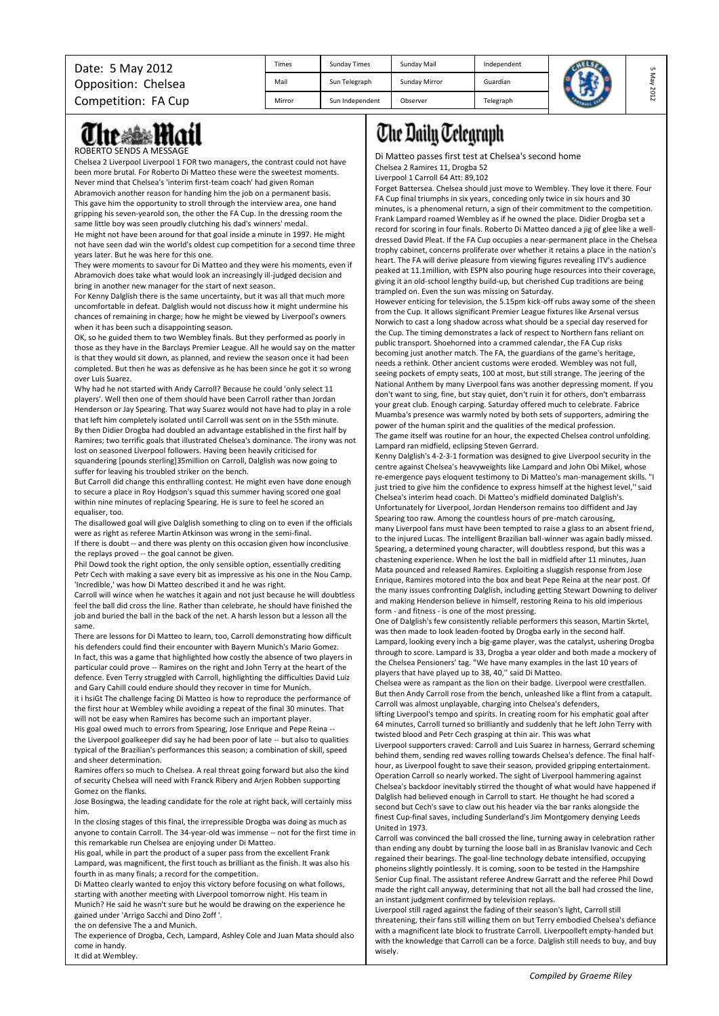| Date: 5 May 2012    | <b>Times</b> | Sunday Times    | Sunday Mail   | Independent | <b>UT</b> |
|---------------------|--------------|-----------------|---------------|-------------|-----------|
| Opposition: Chelsea | Mail         | Sun Telegraph   | Sunday Mirror | Guardian    |           |
| Competition: FA Cup | Mirror       | Sun Independent | Observer      | Telegraph   | $\sim$    |

### **The Mail** ROBERTO SENDS A MESSAGE

Chelsea 2 Liverpool Liverpool 1 FOR two managers, the contrast could not have been more brutal. For Roberto Di Matteo these were the sweetest moments. Never mind that Chelsea's 'interim first-team coach' had given Roman Abramovich another reason for handing him the job on a permanent basis.

This gave him the opportunity to stroll through the interview area, one hand gripping his seven-yearold son, the other the FA Cup. In the dressing room the same little boy was seen proudly clutching his dad's winners' medal. He might not have been around for that goal inside a minute in 1997. He might not have seen dad win the world's oldest cup competition for a second time three years later. But he was here for this one.

They were moments to savour for Di Matteo and they were his moments, even if Abramovich does take what would look an increasingly ill-judged decision and bring in another new manager for the start of next season.

For Kenny Dalglish there is the same uncertainty, but it was all that much more uncomfortable in defeat. Dalglish would not discuss how it might undermine his chances of remaining in charge; how he might be viewed by Liverpool's owners when it has been such a disappointing season.

OK, so he guided them to two Wembley finals. But they performed as poorly in those as they have in the Barclays Premier League. All he would say on the matter is that they would sit down, as planned, and review the season once it had been completed. But then he was as defensive as he has been since he got it so wrong over Luis Suarez.

Why had he not started with Andy Carroll? Because he could 'only select 11 players'. Well then one of them should have been Carroll rather than Jordan Henderson or Jay Spearing. That way Suarez would not have had to play in a role that left him completely isolated until Carroll was sent on in the 55th minute. By then Didier Drogba had doubled an advantage established in the first half by Ramires; two terrific goals that illustrated Chelsea's dominance. The irony was not lost on seasoned Liverpool followers. Having been heavily criticised for squandering [pounds sterling]35million on Carroll, Dalglish was now going to suffer for leaving his troubled striker on the bench.

But Carroll did change this enthralling contest. He might even have done enough to secure a place in Roy Hodgson's squad this summer having scored one goal within nine minutes of replacing Spearing. He is sure to feel he scored an equaliser, too.

The disallowed goal will give Dalglish something to cling on to even if the officials were as right as referee Martin Atkinson was wrong in the semi-final.

If there is doubt -- and there was plenty on this occasion given how inconclusive the replays proved -- the goal cannot be given.

Phil Dowd took the right option, the only sensible option, essentially crediting Petr Cech with making a save every bit as impressive as his one in the Nou Camp. 'Incredible,' was how Di Matteo described it and he was right.

Carroll will wince when he watches it again and not just because he will doubtless feel the ball did cross the line. Rather than celebrate, he should have finished the job and buried the ball in the back of the net. A harsh lesson but a lesson all the same.

There are lessons for Di Matteo to learn, too, Carroll demonstrating how difficult his defenders could find their encounter with Bayern Munich's Mario Gomez. In fact, this was a game that highlighted how costly the absence of two players in particular could prove -- Ramires on the right and John Terry at the heart of the defence. Even Terry struggled with Carroll, highlighting the difficulties David Luiz and Gary Cahill could endure should they recover in time for Munich.

it i hsiGt The challenge facing Di Matteo is how to reproduce the performance of the first hour at Wembley while avoiding a repeat of the final 30 minutes. That will not be easy when Ramires has become such an important player.

His goal owed much to errors from Spearing, Jose Enrique and Pepe Reina the Liverpool goalkeeper did say he had been poor of late -- but also to qualities typical of the Brazilian's performances this season; a combination of skill, speed and sheer determination.

Ramires offers so much to Chelsea. A real threat going forward but also the kind of security Chelsea will need with Franck Ribery and Arjen Robben supporting Gomez on the flanks.

Jose Bosingwa, the leading candidate for the role at right back, will certainly miss him.

In the closing stages of this final, the irrepressible Drogba was doing as much as anyone to contain Carroll. The 34-year-old was immense -- not for the first time in this remarkable run Chelsea are enjoying under Di Matteo.

His goal, while in part the product of a super pass from the excellent Frank Lampard, was magnificent, the first touch as brilliant as the finish. It was also his fourth in as many finals; a record for the competition.

Di Matteo clearly wanted to enjoy this victory before focusing on what follows, starting with another meeting with Liverpool tomorrow night. His team in Munich? He said he wasn't sure but he would be drawing on the experience he

gained under 'Arrigo Sacchi and Dino Zoff '.

the on defensive The a and Munich.

The experience of Drogba, Cech, Lampard, Ashley Cole and Juan Mata should also come in handy.

It did at Wembley.

## **The Daily Telegraph**

Di Matteo passes first test at Chelsea's second home Chelsea 2 Ramires 11, Drogba 52

Liverpool 1 Carroll 64 Att: 89,102

Forget Battersea. Chelsea should just move to Wembley. They love it there. Four FA Cup final triumphs in six years, conceding only twice in six hours and 30 minutes, is a phenomenal return, a sign of their commitment to the competition. Frank Lampard roamed Wembley as if he owned the place. Didier Drogba set a record for scoring in four finals. Roberto Di Matteo danced a jig of glee like a welldressed David Pleat. If the FA Cup occupies a near-permanent place in the Chelsea trophy cabinet, concerns proliferate over whether it retains a place in the nation's heart. The FA will derive pleasure from viewing figures revealing ITV's audience peaked at 11.1million, with ESPN also pouring huge resources into their coverage, giving it an old-school lengthy build-up, but cherished Cup traditions are being trampled on. Even the sun was missing on Saturday.

However enticing for television, the 5.15pm kick-off rubs away some of the sheen from the Cup. It allows significant Premier League fixtures like Arsenal versus Norwich to cast a long shadow across what should be a special day reserved for the Cup. The timing demonstrates a lack of respect to Northern fans reliant on public transport. Shoehorned into a crammed calendar, the FA Cup risks becoming just another match. The FA, the guardians of the game's heritage, needs a rethink. Other ancient customs were eroded. Wembley was not full, seeing pockets of empty seats, 100 at most, but still strange. The jeering of the National Anthem by many Liverpool fans was another depressing moment. If you don't want to sing, fine, but stay quiet, don't ruin it for others, don't embarrass your great club. Enough carping. Saturday offered much to celebrate. Fabrice Muamba's presence was warmly noted by both sets of supporters, admiring the power of the human spirit and the qualities of the medical profession.

The game itself was routine for an hour, the expected Chelsea control unfolding. Lampard ran midfield, eclipsing Steven Gerrard.

Kenny Dalglish's 4-2-3-1 formation was designed to give Liverpool security in the centre against Chelsea's heavyweights like Lampard and John Obi Mikel, whose re-emergence pays eloquent testimony to Di Matteo's man-management skills. "I just tried to give him the confidence to express himself at the highest level," said Chelsea's interim head coach. Di Matteo's midfield dominated Dalglish's. Unfortunately for Liverpool, Jordan Henderson remains too diffident and Jay Spearing too raw. Among the countless hours of pre-match carousing, many Liverpool fans must have been tempted to raise a glass to an absent friend, to the injured Lucas. The intelligent Brazilian ball-winner was again badly missed. Spearing, a determined young character, will doubtless respond, but this was a chastening experience. When he lost the ball in midfield after 11 minutes, Juan Mata pounced and released Ramires. Exploiting a sluggish response from Jose Enrique, Ramires motored into the box and beat Pepe Reina at the near post. Of the many issues confronting Dalglish, including getting Stewart Downing to deliver and making Henderson believe in himself, restoring Reina to his old imperious form - and fitness - is one of the most pressing.

One of Dalglish's few consistently reliable performers this season, Martin Skrtel, was then made to look leaden-footed by Drogba early in the second half. Lampard, looking every inch a big-game player, was the catalyst, ushering Drogba through to score. Lampard is 33, Drogba a year older and both made a mockery of the Chelsea Pensioners' tag. "We have many examples in the last 10 years of players that have played up to 38, 40,'' said Di Matteo.

Chelsea were as rampant as the lion on their badge. Liverpool were crestfallen. But then Andy Carroll rose from the bench, unleashed like a flint from a catapult. Carroll was almost unplayable, charging into Chelsea's defenders, lifting Liverpool's tempo and spirits. In creating room for his emphatic goal after

64 minutes, Carroll turned so brilliantly and suddenly that he left John Terry with twisted blood and Petr Cech grasping at thin air. This was what

Liverpool supporters craved: Carroll and Luis Suarez in harness, Gerrard scheming behind them, sending red waves rolling towards Chelsea's defence. The final halfhour, as Liverpool fought to save their season, provided gripping entertainment. Operation Carroll so nearly worked. The sight of Liverpool hammering against Chelsea's backdoor inevitably stirred the thought of what would have happened if Dalglish had believed enough in Carroll to start. He thought he had scored a second but Cech's save to claw out his header via the bar ranks alongside the finest Cup-final saves, including Sunderland's Jim Montgomery denying Leeds United in 1973.

Carroll was convinced the ball crossed the line, turning away in celebration rather than ending any doubt by turning the loose ball in as Branislav Ivanovic and Cech regained their bearings. The goal-line technology debate intensified, occupying phoneins slightly pointlessly. It is coming, soon to be tested in the Hampshire Senior Cup final. The assistant referee Andrew Garratt and the referee Phil Dowd made the right call anyway, determining that not all the ball had crossed the line, an instant judgment confirmed by television replays.

Liverpool still raged against the fading of their season's light, Carroll still threatening, their fans still willing them on but Terry embodied Chelsea's defiance with a magnificent late block to frustrate Carroll. Liverpoolleft empty-handed but with the knowledge that Carroll can be a force. Dalglish still needs to buy, and buy wisely.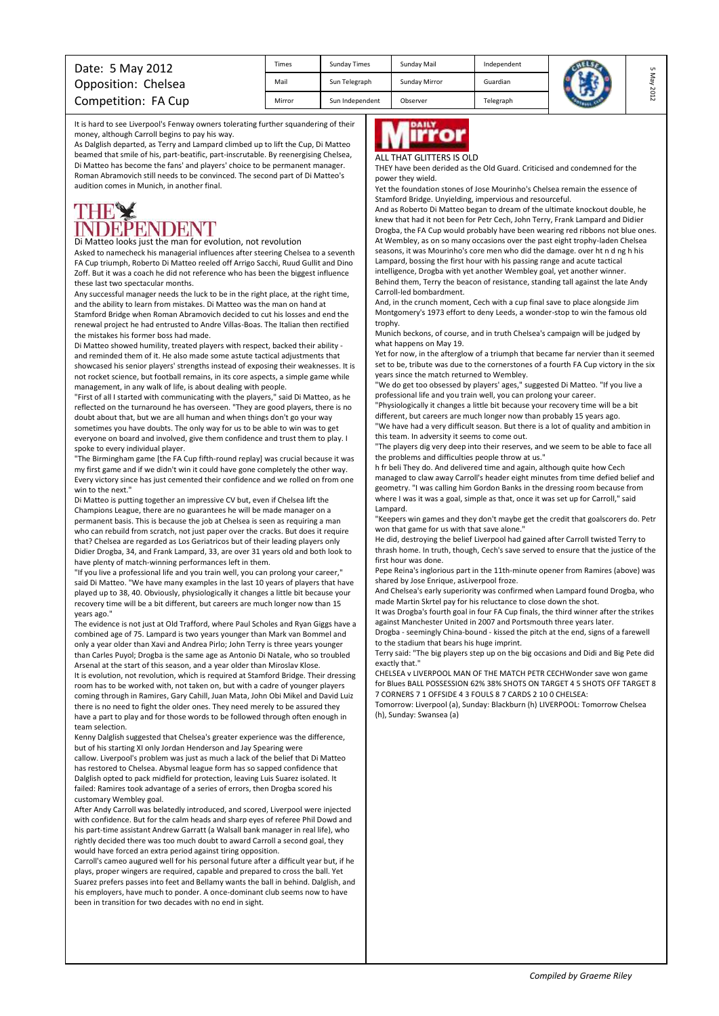#### Times Sunday Times Sunday Mail Independent Date: 5 May 2012 Aew<sub>S</sub> 5 May 2012 Mail Sun Telegraph Sunday Mirror Guardian Opposition: Chelsea 201 Competition: FA Cup Mirror Sun Independent Observer Telegraph

It is hard to see Liverpool's Fenway owners tolerating further squandering of their money, although Carroll begins to pay his way.

As Dalglish departed, as Terry and Lampard climbed up to lift the Cup, Di Matteo beamed that smile of his, part-beatific, part-inscrutable. By reenergising Chelsea, Di Matteo has become the fans' and players' choice to be permanent manager. Roman Abramovich still needs to be convinced. The second part of Di Matteo's audition comes in Munich, in another final.

## THEX **INDEPENDENT**

Di Matteo looks just the man for evolution, not revolution Asked to namecheck his managerial influences after steering Chelsea to a seventh FA Cup triumph, Roberto Di Matteo reeled off Arrigo Sacchi, Ruud Gullit and Dino Zoff. But it was a coach he did not reference who has been the biggest influence these last two spectacular months.

Any successful manager needs the luck to be in the right place, at the right time, and the ability to learn from mistakes. Di Matteo was the man on hand at Stamford Bridge when Roman Abramovich decided to cut his losses and end the renewal project he had entrusted to Andre Villas-Boas. The Italian then rectified the mistakes his former boss had made.

Di Matteo showed humility, treated players with respect, backed their ability and reminded them of it. He also made some astute tactical adjustments that showcased his senior players' strengths instead of exposing their weaknesses. It is not rocket science, but football remains, in its core aspects, a simple game while management, in any walk of life, is about dealing with people.

"First of all I started with communicating with the players," said Di Matteo, as he reflected on the turnaround he has overseen. "They are good players, there is no doubt about that, but we are all human and when things don't go your way sometimes you have doubts. The only way for us to be able to win was to get everyone on board and involved, give them confidence and trust them to play. I spoke to every individual player.

"The Birmingham game [the FA Cup fifth-round replay] was crucial because it was my first game and if we didn't win it could have gone completely the other way. Every victory since has just cemented their confidence and we rolled on from one win to the next."

Di Matteo is putting together an impressive CV but, even if Chelsea lift the Champions League, there are no guarantees he will be made manager on a permanent basis. This is because the job at Chelsea is seen as requiring a man who can rebuild from scratch, not just paper over the cracks. But does it require that? Chelsea are regarded as Los Geriatricos but of their leading players only Didier Drogba, 34, and Frank Lampard, 33, are over 31 years old and both look to have plenty of match-winning performances left in them.

"If you live a professional life and you train well, you can prolong your career," said Di Matteo. "We have many examples in the last 10 years of players that have played up to 38, 40. Obviously, physiologically it changes a little bit because your recovery time will be a bit different, but careers are much longer now than 15 years ago."

The evidence is not just at Old Trafford, where Paul Scholes and Ryan Giggs have a combined age of 75. Lampard is two years younger than Mark van Bommel and only a year older than Xavi and Andrea Pirlo; John Terry is three years younger than Carles Puyol; Drogba is the same age as Antonio Di Natale, who so troubled Arsenal at the start of this season, and a year older than Miroslav Klose. It is evolution, not revolution, which is required at Stamford Bridge. Their dressing room has to be worked with, not taken on, but with a cadre of younger players coming through in Ramires, Gary Cahill, Juan Mata, John Obi Mikel and David Luiz there is no need to fight the older ones. They need merely to be assured they have a part to play and for those words to be followed through often enough in team selection.

Kenny Dalglish suggested that Chelsea's greater experience was the difference, but of his starting XI only Jordan Henderson and Jay Spearing were callow. Liverpool's problem was just as much a lack of the belief that Di Matteo has restored to Chelsea. Abysmal league form has so sapped confidence that Dalglish opted to pack midfield for protection, leaving Luis Suarez isolated. It failed: Ramires took advantage of a series of errors, then Drogba scored his customary Wembley goal.

After Andy Carroll was belatedly introduced, and scored, Liverpool were injected with confidence. But for the calm heads and sharp eyes of referee Phil Dowd and his part-time assistant Andrew Garratt (a Walsall bank manager in real life), who rightly decided there was too much doubt to award Carroll a second goal, they would have forced an extra period against tiring opposition.

Carroll's cameo augured well for his personal future after a difficult year but, if he plays, proper wingers are required, capable and prepared to cross the ball. Yet Suarez prefers passes into feet and Bellamy wants the ball in behind. Dalglish, and his employers, have much to ponder. A once-dominant club seems now to have been in transition for two decades with no end in sight.



#### ALL THAT GLITTERS IS OLD

THEY have been derided as the Old Guard. Criticised and condemned for the power they wield.

Yet the foundation stones of Jose Mourinho's Chelsea remain the essence of Stamford Bridge. Unyielding, impervious and resourceful.

And as Roberto Di Matteo began to dream of the ultimate knockout double, he knew that had it not been for Petr Cech, John Terry, Frank Lampard and Didier Drogba, the FA Cup would probably have been wearing red ribbons not blue ones. At Wembley, as on so many occasions over the past eight trophy-laden Chelsea seasons, it was Mourinho's core men who did the damage. over ht n d ng h his Lampard, bossing the first hour with his passing range and acute tactical intelligence, Drogba with yet another Wembley goal, yet another winner. Behind them, Terry the beacon of resistance, standing tall against the late Andy

Carroll-led bombardment. And, in the crunch moment, Cech with a cup final save to place alongside Jim

Montgomery's 1973 effort to deny Leeds, a wonder-stop to win the famous old trophy.

Munich beckons, of course, and in truth Chelsea's campaign will be judged by what happens on May 19.

Yet for now, in the afterglow of a triumph that became far nervier than it seemed set to be, tribute was due to the cornerstones of a fourth FA Cup victory in the six years since the match returned to Wembley.

"We do get too obsessed by players' ages," suggested Di Matteo. "If you live a professional life and you train well, you can prolong your career.

"Physiologically it changes a little bit because your recovery time will be a bit different, but careers are much longer now than probably 15 years ago.

"We have had a very difficult season. But there is a lot of quality and ambition in this team. In adversity it seems to come out.

"The players dig very deep into their reserves, and we seem to be able to face all the problems and difficulties people throw at us."

h fr beli They do. And delivered time and again, although quite how Cech managed to claw away Carroll's header eight minutes from time defied belief and geometry. "I was calling him Gordon Banks in the dressing room because from where I was it was a goal, simple as that, once it was set up for Carroll," said Lampard.

"Keepers win games and they don't maybe get the credit that goalscorers do. Petr won that game for us with that save alone.

He did, destroying the belief Liverpool had gained after Carroll twisted Terry to thrash home. In truth, though, Cech's save served to ensure that the justice of the first hour was done.

Pepe Reina's inglorious part in the 11th-minute opener from Ramires (above) was shared by Jose Enrique, asLiverpool froze.

And Chelsea's early superiority was confirmed when Lampard found Drogba, who made Martin Skrtel pay for his reluctance to close down the shot.

It was Drogba's fourth goal in four FA Cup finals, the third winner after the strikes against Manchester United in 2007 and Portsmouth three years later. Drogba - seemingly China-bound - kissed the pitch at the end, signs of a farewell

to the stadium that bears his huge imprint.

Terry said: "The big players step up on the big occasions and Didi and Big Pete did exactly that."

CHELSEA v LIVERPOOL MAN OF THE MATCH PETR CECHWonder save won game for Blues BALL POSSESSION 62% 38% SHOTS ON TARGET 4 5 SHOTS OFF TARGET 8 7 CORNERS 7 1 OFFSIDE 4 3 FOULS 8 7 CARDS 2 10 0 CHELSEA:

Tomorrow: Liverpool (a), Sunday: Blackburn (h) LIVERPOOL: Tomorrow Chelsea (h), Sunday: Swansea (a)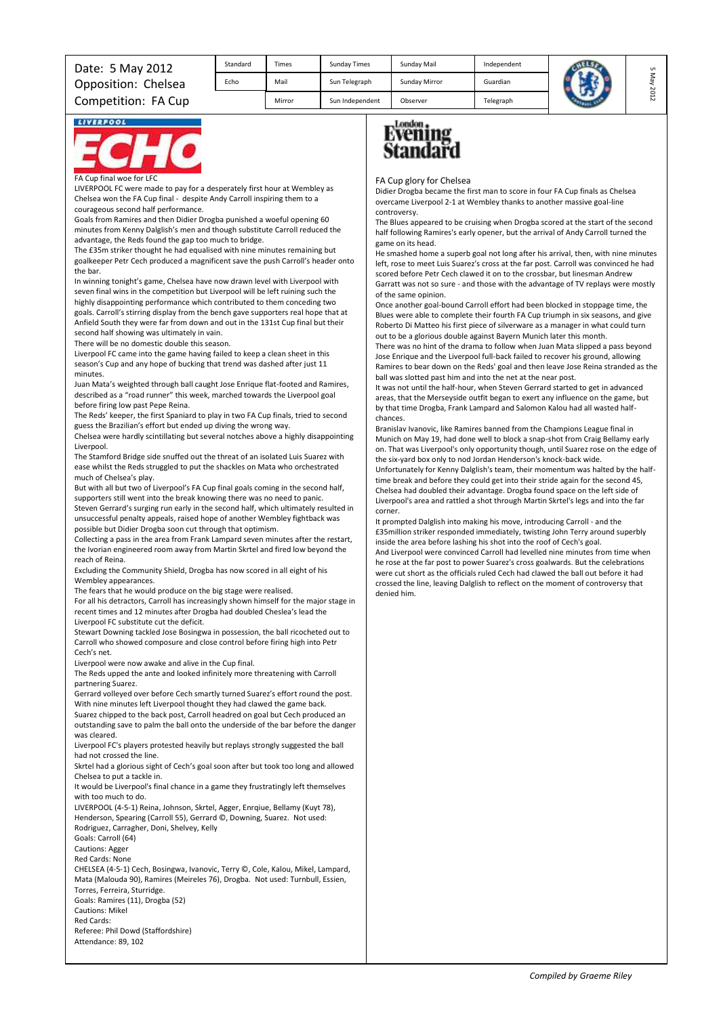#### Date: 5 May 2012 Opposition: Chelsea Competition: FA Cup

|   | Standard | Times  | Sunday Times    | Sunday Mail   | Independent |  |
|---|----------|--------|-----------------|---------------|-------------|--|
|   | Echo     | Mail   | Sun Telegraph   | Sunday Mirror | Guardian    |  |
| р |          | Mirror | Sun Independent | Observer      | Telegraph   |  |



#### FA Cup final woe for LFC

LIVERPOOL FC were made to pay for a desperately first hour at Wembley as Chelsea won the FA Cup final - despite Andy Carroll inspiring them to a courageous second half performance.

Goals from Ramires and then Didier Drogba punished a woeful opening 60 minutes from Kenny Dalglish's men and though substitute Carroll reduced the advantage, the Reds found the gap too much to bridge.

The £35m striker thought he had equalised with nine minutes remaining but goalkeeper Petr Cech produced a magnificent save the push Carroll's header onto the bar.

In winning tonight's game, Chelsea have now drawn level with Liverpool with seven final wins in the competition but Liverpool will be left ruining such the highly disappointing performance which contributed to them conceding two goals. Carroll's stirring display from the bench gave supporters real hope that at Anfield South they were far from down and out in the 131st Cup final but their second half showing was ultimately in vain.

There will be no domestic double this season.

Liverpool FC came into the game having failed to keep a clean sheet in this season's Cup and any hope of bucking that trend was dashed after just 11 minutes.

Juan Mata's weighted through ball caught Jose Enrique flat-footed and Ramires, described as a "road runner" this week, marched towards the Liverpool goal before firing low past Pepe Reina.

The Reds' keeper, the first Spaniard to play in two FA Cup finals, tried to second guess the Brazilian's effort but ended up diving the wrong way.

Chelsea were hardly scintillating but several notches above a highly disappointing Liverpool.

The Stamford Bridge side snuffed out the threat of an isolated Luis Suarez with ease whilst the Reds struggled to put the shackles on Mata who orchestrated much of Chelsea's play.

But with all but two of Liverpool's FA Cup final goals coming in the second half, supporters still went into the break knowing there was no need to panic. Steven Gerrard's surging run early in the second half, which ultimately resulted in unsuccessful penalty appeals, raised hope of another Wembley fightback was possible but Didier Drogba soon cut through that optimism.

Collecting a pass in the area from Frank Lampard seven minutes after the restart, the Ivorian engineered room away from Martin Skrtel and fired low beyond the reach of Reina.

Excluding the Community Shield, Drogba has now scored in all eight of his Wembley appearances.

The fears that he would produce on the big stage were realised.

For all his detractors, Carroll has increasingly shown himself for the major stage in recent times and 12 minutes after Drogba had doubled Cheslea's lead the Liverpool FC substitute cut the deficit.

Stewart Downing tackled Jose Bosingwa in possession, the ball ricocheted out to Carroll who showed composure and close control before firing high into Petr Cech's net.

Liverpool were now awake and alive in the Cup final.

The Reds upped the ante and looked infinitely more threatening with Carroll partnering Suarez.

Gerrard volleyed over before Cech smartly turned Suarez's effort round the post. With nine minutes left Liverpool thought they had clawed the game back. Suarez chipped to the back post, Carroll headred on goal but Cech produced an

outstanding save to palm the ball onto the underside of the bar before the danger was cleared.

Liverpool FC's players protested heavily but replays strongly suggested the ball had not crossed the line.

Skrtel had a glorious sight of Cech's goal soon after but took too long and allowed Chelsea to put a tackle in.

It would be Liverpool's final chance in a game they frustratingly left themselves with too much to do.

LIVERPOOL (4-5-1) Reina, Johnson, Skrtel, Agger, Enrqiue, Bellamy (Kuyt 78), Henderson, Spearing (Carroll 55), Gerrard ©, Downing, Suarez. Not used: Rodriguez, Carragher, Doni, Shelvey, Kelly

Goals: Carroll (64)

Cautions: Agger

Red Cards: None

CHELSEA (4-5-1) Cech, Bosingwa, Ivanovic, Terry ©, Cole, Kalou, Mikel, Lampard, Mata (Malouda 90), Ramires (Meireles 76), Drogba. Not used: Turnbull, Essien, Torres, Ferreira, Sturridge. Goals: Ramires (11), Drogba (52) Cautions: Mikel

Red Cards:

Referee: Phil Dowd (Staffordshire) Attendance: 89, 102

## Evening

#### FA Cup glory for Chelsea

Didier Drogba became the first man to score in four FA Cup finals as Chelsea overcame Liverpool 2-1 at Wembley thanks to another massive goal-line controversy.

The Blues appeared to be cruising when Drogba scored at the start of the second half following Ramires's early opener, but the arrival of Andy Carroll turned the game on its head.

5 May 2012

Ae<sub>N</sub>S  $102$ 

He smashed home a superb goal not long after his arrival, then, with nine minutes left, rose to meet Luis Suarez's cross at the far post. Carroll was convinced he had scored before Petr Cech clawed it on to the crossbar, but linesman Andrew Garratt was not so sure - and those with the advantage of TV replays were mostly of the same opinion.

Once another goal-bound Carroll effort had been blocked in stoppage time, the Blues were able to complete their fourth FA Cup triumph in six seasons, and give Roberto Di Matteo his first piece of silverware as a manager in what could turn out to be a glorious double against Bayern Munich later this month.

There was no hint of the drama to follow when Juan Mata slipped a pass beyond Jose Enrique and the Liverpool full-back failed to recover his ground, allowing Ramires to bear down on the Reds' goal and then leave Jose Reina stranded as the ball was slotted past him and into the net at the near post.

It was not until the half-hour, when Steven Gerrard started to get in advanced areas, that the Merseyside outfit began to exert any influence on the game, but by that time Drogba, Frank Lampard and Salomon Kalou had all wasted halfchances.

Branislav Ivanovic, like Ramires banned from the Champions League final in Munich on May 19, had done well to block a snap-shot from Craig Bellamy early on. That was Liverpool's only opportunity though, until Suarez rose on the edge of the six-yard box only to nod Jordan Henderson's knock-back wide.

Unfortunately for Kenny Dalglish's team, their momentum was halted by the halftime break and before they could get into their stride again for the second 45, Chelsea had doubled their advantage. Drogba found space on the left side of Liverpool's area and rattled a shot through Martin Skrtel's legs and into the far corner.

It prompted Dalglish into making his move, introducing Carroll - and the £35million striker responded immediately, twisting John Terry around superbly inside the area before lashing his shot into the roof of Cech's goal.

And Liverpool were convinced Carroll had levelled nine minutes from time when he rose at the far post to power Suarez's cross goalwards. But the celebrations were cut short as the officials ruled Cech had clawed the ball out before it had crossed the line, leaving Dalglish to reflect on the moment of controversy that denied him.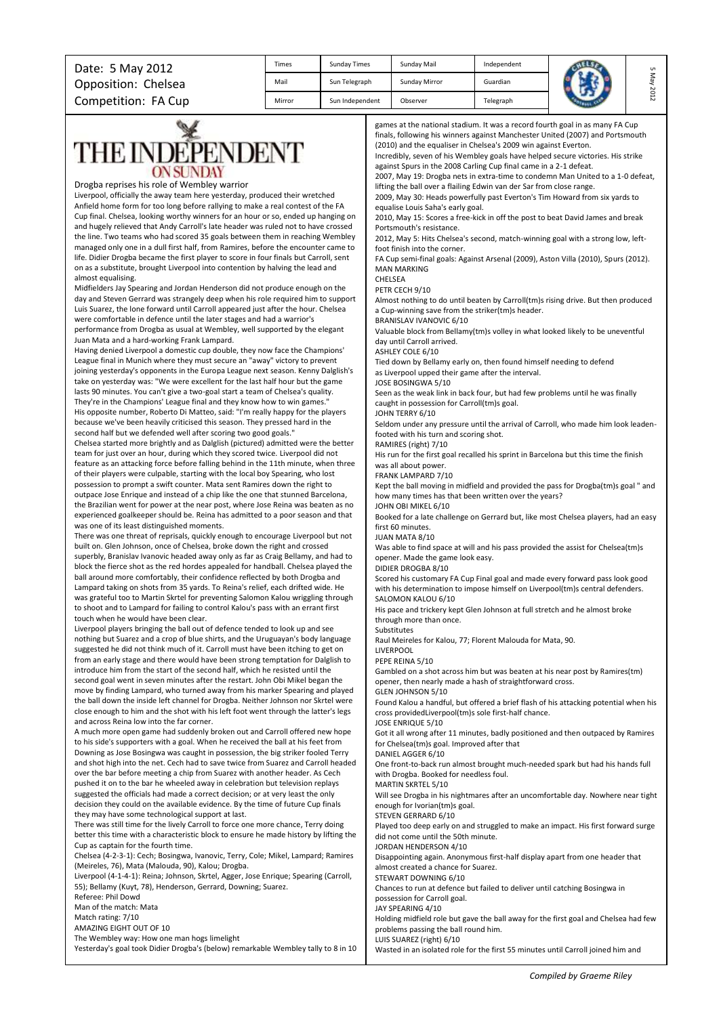| Date: 5 May 2012    | <b>Times</b> | Sunday Times    | Sundav Mail   | Independent | <b>UT</b> |
|---------------------|--------------|-----------------|---------------|-------------|-----------|
| Opposition: Chelsea | Mail         | Sun Telegraph   | Sunday Mirror | Guardian    |           |
| Competition: FA Cup | Mirror       | Sun Independent | Observer      | Telegraph   | N         |

# THE INDEPENDENT

Drogba reprises his role of Wembley warrior

Liverpool, officially the away team here yesterday, produced their wretched Anfield home form for too long before rallying to make a real contest of the FA Cup final. Chelsea, looking worthy winners for an hour or so, ended up hanging on and hugely relieved that Andy Carroll's late header was ruled not to have crossed the line. Two teams who had scored 35 goals between them in reaching Wembley managed only one in a dull first half, from Ramires, before the encounter came to life. Didier Drogba became the first player to score in four finals but Carroll, sent on as a substitute, brought Liverpool into contention by halving the lead and almost equalising.

Midfielders Jay Spearing and Jordan Henderson did not produce enough on the day and Steven Gerrard was strangely deep when his role required him to support Luis Suarez, the lone forward until Carroll appeared just after the hour. Chelsea were comfortable in defence until the later stages and had a warrior's performance from Drogba as usual at Wembley, well supported by the elegant Juan Mata and a hard-working Frank Lampard.

Having denied Liverpool a domestic cup double, they now face the Champions' League final in Munich where they must secure an "away" victory to prevent joining yesterday's opponents in the Europa League next season. Kenny Dalglish's take on yesterday was: "We were excellent for the last half hour but the game lasts 90 minutes. You can't give a two-goal start a team of Chelsea's quality. They're in the Champions' League final and they know how to win games." His opposite number, Roberto Di Matteo, said: "I'm really happy for the players because we've been heavily criticised this season. They pressed hard in the second half but we defended well after scoring two good goals."

Chelsea started more brightly and as Dalglish (pictured) admitted were the better team for just over an hour, during which they scored twice. Liverpool did not feature as an attacking force before falling behind in the 11th minute, when three of their players were culpable, starting with the local boy Spearing, who lost possession to prompt a swift counter. Mata sent Ramires down the right to outpace Jose Enrique and instead of a chip like the one that stunned Barcelona, the Brazilian went for power at the near post, where Jose Reina was beaten as no experienced goalkeeper should be. Reina has admitted to a poor season and that was one of its least distinguished moments.

There was one threat of reprisals, quickly enough to encourage Liverpool but not built on. Glen Johnson, once of Chelsea, broke down the right and crossed superbly, Branislav Ivanovic headed away only as far as Craig Bellamy, and had to block the fierce shot as the red hordes appealed for handball. Chelsea played the ball around more comfortably, their confidence reflected by both Drogba and Lampard taking on shots from 35 yards. To Reina's relief, each drifted wide. He was grateful too to Martin Skrtel for preventing Salomon Kalou wriggling through to shoot and to Lampard for failing to control Kalou's pass with an errant first touch when he would have been clear.

Liverpool players bringing the ball out of defence tended to look up and see nothing but Suarez and a crop of blue shirts, and the Uruguayan's body language suggested he did not think much of it. Carroll must have been itching to get on from an early stage and there would have been strong temptation for Dalglish to introduce him from the start of the second half, which he resisted until the second goal went in seven minutes after the restart. John Obi Mikel began the move by finding Lampard, who turned away from his marker Spearing and played the ball down the inside left channel for Drogba. Neither Johnson nor Skrtel were close enough to him and the shot with his left foot went through the latter's legs and across Reina low into the far corner.

A much more open game had suddenly broken out and Carroll offered new hope to his side's supporters with a goal. When he received the ball at his feet from Downing as Jose Bosingwa was caught in possession, the big striker fooled Terry and shot high into the net. Cech had to save twice from Suarez and Carroll headed over the bar before meeting a chip from Suarez with another header. As Cech pushed it on to the bar he wheeled away in celebration but television replays suggested the officials had made a correct decision; or at very least the only decision they could on the available evidence. By the time of future Cup finals they may have some technological support at last.

There was still time for the lively Carroll to force one more chance, Terry doing better this time with a characteristic block to ensure he made history by lifting the Cup as captain for the fourth time.

Chelsea (4-2-3-1): Cech; Bosingwa, Ivanovic, Terry, Cole; Mikel, Lampard; Ramires (Meireles, 76), Mata (Malouda, 90), Kalou; Drogba.

Liverpool (4-1-4-1): Reina; Johnson, Skrtel, Agger, Jose Enrique; Spearing (Carroll, 55); Bellamy (Kuyt, 78), Henderson, Gerrard, Downing; Suarez.

Referee: Phil Dowd Man of the match: Mata

Match rating: 7/10

AMAZING EIGHT OUT OF 10

The Wembley way: How one man hogs limelight

Yesterday's goal took Didier Drogba's (below) remarkable Wembley tally to 8 in 10

games at the national stadium. It was a record fourth goal in as many FA Cup finals, following his winners against Manchester United (2007) and Portsmouth (2010) and the equaliser in Chelsea's 2009 win against Everton. Incredibly, seven of his Wembley goals have helped secure victories. His strike against Spurs in the 2008 Carling Cup final came in a 2-1 defeat.

2007, May 19: Drogba nets in extra-time to condemn Man United to a 1-0 defeat, lifting the ball over a flailing Edwin van der Sar from close range.

2009, May 30: Heads powerfully past Everton's Tim Howard from six yards to equalise Louis Saha's early goal.

2010, May 15: Scores a free-kick in off the post to beat David James and break Portsmouth's resistance.

2012, May 5: Hits Chelsea's second, match-winning goal with a strong low, leftfoot finish into the corner.

FA Cup semi-final goals: Against Arsenal (2009), Aston Villa (2010), Spurs (2012). MAN MARKING

CHELSEA

PETR CECH 9/10

Almost nothing to do until beaten by Carroll(tm)s rising drive. But then produced a Cup-winning save from the striker(tm)s header.

BRANISLAV IVANOVIC 6/10

Valuable block from Bellamy(tm)s volley in what looked likely to be uneventful day until Carroll arrived.

ASHLEY COLE 6/10

Tied down by Bellamy early on, then found himself needing to defend as Liverpool upped their game after the interval.

JOSE BOSINGWA 5/10

Seen as the weak link in back four, but had few problems until he was finally caught in possession for Carroll(tm)s goal.

JOHN TERRY 6/10

Seldom under any pressure until the arrival of Carroll, who made him look leadenfooted with his turn and scoring shot.

RAMIRES (right) 7/10

His run for the first goal recalled his sprint in Barcelona but this time the finish was all about power.

FRANK LAMPARD 7/10

Kept the ball moving in midfield and provided the pass for Drogba(tm)s goal " and how many times has that been written over the years?

JOHN OBI MIKEL 6/10

Booked for a late challenge on Gerrard but, like most Chelsea players, had an easy first 60 minutes.

JUAN MATA 8/10

Was able to find space at will and his pass provided the assist for Chelsea(tm)s opener. Made the game look easy.

DIDIER DROGBA 8/10

Scored his customary FA Cup Final goal and made every forward pass look good with his determination to impose himself on Liverpool(tm)s central defenders. SALOMON KALOU 6/10

His pace and trickery kept Glen Johnson at full stretch and he almost broke through more than once.

Substitutes

Raul Meireles for Kalou, 77; Florent Malouda for Mata, 90.

LIVERPOOL PEPE REINA 5/10

Gambled on a shot across him but was beaten at his near post by Ramires(tm) opener, then nearly made a hash of straightforward cross.

GLEN JOHNSON 5/10

Found Kalou a handful, but offered a brief flash of his attacking potential when his cross providedLiverpool(tm)s sole first-half chance.

JOSE ENRIQUE 5/10

Got it all wrong after 11 minutes, badly positioned and then outpaced by Ramires for Chelsea(tm)s goal. Improved after that

DANIEL AGGER 6/10

One front-to-back run almost brought much-needed spark but had his hands full with Drogba. Booked for needless foul.

MARTIN SKRTEL 5/10

Will see Drogba in his nightmares after an uncomfortable day. Nowhere near tight enough for Ivorian(tm)s goal.

STEVEN GERRARD 6/10

Played too deep early on and struggled to make an impact. His first forward surge did not come until the 50th minute.

JORDAN HENDERSON 4/10

Disappointing again. Anonymous first-half display apart from one header that almost created a chance for Suarez.

STEWART DOWNING 6/10

Chances to run at defence but failed to deliver until catching Bosingwa in possession for Carroll goal.

JAY SPEARING 4/10

Holding midfield role but gave the ball away for the first goal and Chelsea had few problems passing the ball round him.

LUIS SUAREZ (right) 6/10

Wasted in an isolated role for the first 55 minutes until Carroll joined him and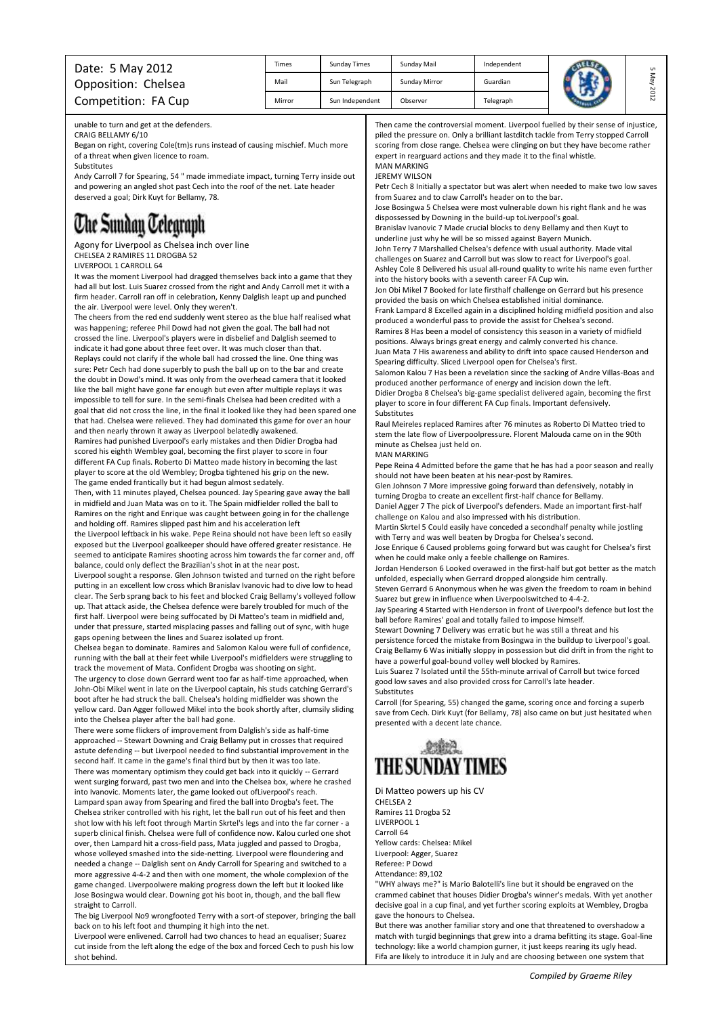| Date: 5 May 2012    | <b>Times</b> | Sunday Times    | Sunday Mail   | Independent | <b>UT</b> |
|---------------------|--------------|-----------------|---------------|-------------|-----------|
| Opposition: Chelsea | Mail         | Sun Telegraph   | Sunday Mirror | Guardian    | N         |
| Competition: FA Cup | Mirror       | Sun Independent | Observer      | Telegraph   | N         |

unable to turn and get at the defenders.

CRAIG BELLAMY 6/10

Began on right, covering Cole(tm)s runs instead of causing mischief. Much more of a threat when given licence to roam.

Substitutes

Andy Carroll 7 for Spearing, 54 " made immediate impact, turning Terry inside out and powering an angled shot past Cech into the roof of the net. Late header deserved a goal; Dirk Kuyt for Bellamy, 78.

## The Sunday Telegraph

Agony for Liverpool as Chelsea inch over line CHELSEA 2 RAMIRES 11 DROGBA 52

LIVERPOOL 1 CARROLL 64

It was the moment Liverpool had dragged themselves back into a game that they had all but lost. Luis Suarez crossed from the right and Andy Carroll met it with a firm header. Carroll ran off in celebration, Kenny Dalglish leapt up and punched the air. Liverpool were level. Only they weren't.

The cheers from the red end suddenly went stereo as the blue half realised what was happening; referee Phil Dowd had not given the goal. The ball had not crossed the line. Liverpool's players were in disbelief and Dalglish seemed to indicate it had gone about three feet over. It was much closer than that. Replays could not clarify if the whole ball had crossed the line. One thing was sure: Petr Cech had done superbly to push the ball up on to the bar and create the doubt in Dowd's mind. It was only from the overhead camera that it looked like the ball might have gone far enough but even after multiple replays it was impossible to tell for sure. In the semi-finals Chelsea had been credited with a goal that did not cross the line, in the final it looked like they had been spared one that had. Chelsea were relieved. They had dominated this game for over an hour and then nearly thrown it away as Liverpool belatedly awakened.

Ramires had punished Liverpool's early mistakes and then Didier Drogba had scored his eighth Wembley goal, becoming the first player to score in four different FA Cup finals. Roberto Di Matteo made history in becoming the last player to score at the old Wembley; Drogba tightened his grip on the new. The game ended frantically but it had begun almost sedately.

Then, with 11 minutes played, Chelsea pounced. Jay Spearing gave away the ball in midfield and Juan Mata was on to it. The Spain midfielder rolled the ball to Ramires on the right and Enrique was caught between going in for the challenge and holding off. Ramires slipped past him and his acceleration left

the Liverpool leftback in his wake. Pepe Reina should not have been left so easily exposed but the Liverpool goalkeeper should have offered greater resistance. He seemed to anticipate Ramires shooting across him towards the far corner and, off balance, could only deflect the Brazilian's shot in at the near post.

Liverpool sought a response. Glen Johnson twisted and turned on the right before putting in an excellent low cross which Branislav Ivanovic had to dive low to head clear. The Serb sprang back to his feet and blocked Craig Bellamy's volleyed follow up. That attack aside, the Chelsea defence were barely troubled for much of the first half. Liverpool were being suffocated by Di Matteo's team in midfield and, under that pressure, started misplacing passes and falling out of sync, with huge gaps opening between the lines and Suarez isolated up front.

Chelsea began to dominate. Ramires and Salomon Kalou were full of confidence, running with the ball at their feet while Liverpool's midfielders were struggling to track the movement of Mata. Confident Drogba was shooting on sight. The urgency to close down Gerrard went too far as half-time approached, when John-Obi Mikel went in late on the Liverpool captain, his studs catching Gerrard's boot after he had struck the ball. Chelsea's holding midfielder was shown the

yellow card. Dan Agger followed Mikel into the book shortly after, clumsily sliding into the Chelsea player after the ball had gone. There were some flickers of improvement from Dalglish's side as half-time

approached -- Stewart Downing and Craig Bellamy put in crosses that required astute defending -- but Liverpool needed to find substantial improvement in the second half. It came in the game's final third but by then it was too late. There was momentary optimism they could get back into it quickly -- Gerrard went surging forward, past two men and into the Chelsea box, where he crashed into Ivanovic. Moments later, the game looked out ofLiverpool's reach. Lampard span away from Spearing and fired the ball into Drogba's feet. The Chelsea striker controlled with his right, let the ball run out of his feet and then shot low with his left foot through Martin Skrtel's legs and into the far corner - a superb clinical finish. Chelsea were full of confidence now. Kalou curled one shot over, then Lampard hit a cross-field pass, Mata juggled and passed to Drogba, whose volleyed smashed into the side-netting. Liverpool were floundering and needed a change -- Dalglish sent on Andy Carroll for Spearing and switched to a more aggressive 4-4-2 and then with one moment, the whole complexion of the game changed. Liverpoolwere making progress down the left but it looked like Jose Bosingwa would clear. Downing got his boot in, though, and the ball flew straight to Carroll.

The big Liverpool No9 wrongfooted Terry with a sort-of stepover, bringing the ball back on to his left foot and thumping it high into the net.

Liverpool were enlivened. Carroll had two chances to head an equaliser; Suarez cut inside from the left along the edge of the box and forced Cech to push his low shot behind.

Then came the controversial moment. Liverpool fuelled by their sense of injustice, piled the pressure on. Only a brilliant lastditch tackle from Terry stopped Carroll scoring from close range. Chelsea were clinging on but they have become rather expert in rearguard actions and they made it to the final whistle. MAN MARKING

JEREMY WILSON

Petr Cech 8 Initially a spectator but was alert when needed to make two low saves from Suarez and to claw Carroll's header on to the bar.

Jose Bosingwa 5 Chelsea were most vulnerable down his right flank and he was dispossessed by Downing in the build-up toLiverpool's goal.

Branislav Ivanovic 7 Made crucial blocks to deny Bellamy and then Kuyt to underline just why he will be so missed against Bayern Munich.

John Terry 7 Marshalled Chelsea's defence with usual authority. Made vital challenges on Suarez and Carroll but was slow to react for Liverpool's goal. Ashley Cole 8 Delivered his usual all-round quality to write his name even further into the history books with a seventh career FA Cup win.

Jon Obi Mikel 7 Booked for late firsthalf challenge on Gerrard but his presence provided the basis on which Chelsea established initial dominance.

Frank Lampard 8 Excelled again in a disciplined holding midfield position and also produced a wonderful pass to provide the assist for Chelsea's second. Ramires 8 Has been a model of consistency this season in a variety of midfield positions. Always brings great energy and calmly converted his chance. Juan Mata 7 His awareness and ability to drift into space caused Henderson and

Spearing difficulty. Sliced Liverpool open for Chelsea's first. Salomon Kalou 7 Has been a revelation since the sacking of Andre Villas-Boas and

produced another performance of energy and incision down the left. Didier Drogba 8 Chelsea's big-game specialist delivered again, becoming the first player to score in four different FA Cup finals. Important defensively. Substitutes

Raul Meireles replaced Ramires after 76 minutes as Roberto Di Matteo tried to stem the late flow of Liverpoolpressure. Florent Malouda came on in the 90th minute as Chelsea just held on.

MAN MARKING

Pepe Reina 4 Admitted before the game that he has had a poor season and really should not have been beaten at his near-post by Ramires.

Glen Johnson 7 More impressive going forward than defensively, notably in turning Drogba to create an excellent first-half chance for Bellamy. Daniel Agger 7 The pick of Liverpool's defenders. Made an important first-half

challenge on Kalou and also impressed with his distribution.

Martin Skrtel 5 Could easily have conceded a secondhalf penalty while jostling with Terry and was well beaten by Drogba for Chelsea's second.

Jose Enrique 6 Caused problems going forward but was caught for Chelsea's first when he could make only a feeble challenge on Ramires.

Jordan Henderson 6 Looked overawed in the first-half but got better as the match unfolded, especially when Gerrard dropped alongside him centrally.

Steven Gerrard 6 Anonymous when he was given the freedom to roam in behind Suarez but grew in influence when Liverpoolswitched to 4-4-2.

Jay Spearing 4 Started with Henderson in front of Liverpool's defence but lost the ball before Ramires' goal and totally failed to impose himself.

Stewart Downing 7 Delivery was erratic but he was still a threat and his persistence forced the mistake from Bosingwa in the buildup to Liverpool's goal. Craig Bellamy 6 Was initially sloppy in possession but did drift in from the right to

have a powerful goal-bound volley well blocked by Ramires. Luis Suarez 7 Isolated until the 55th-minute arrival of Carroll but twice forced

good low saves and also provided cross for Carroll's late header. Substitutes

Carroll (for Spearing, 55) changed the game, scoring once and forcing a superb save from Cech. Dirk Kuyt (for Bellamy, 78) also came on but just hesitated when presented with a decent late chance.



Di Matteo powers up his CV CHELSEA 2 Ramires 11 Drogba 52 LIVERPOOL 1 Carroll 64 Yellow cards: Chelsea: Mikel Liverpool: Agger, Suarez Referee: P Dowd Attendance: 89 102

"WHY always me?" is Mario Balotelli's line but it should be engraved on the crammed cabinet that houses Didier Drogba's winner's medals. With yet another decisive goal in a cup final, and yet further scoring exploits at Wembley, Drogba gave the honours to Chelsea.

But there was another familiar story and one that threatened to overshadow a match with turgid beginnings that grew into a drama befitting its stage. Goal-line technology: like a world champion gurner, it just keeps rearing its ugly head. Fifa are likely to introduce it in July and are choosing between one system that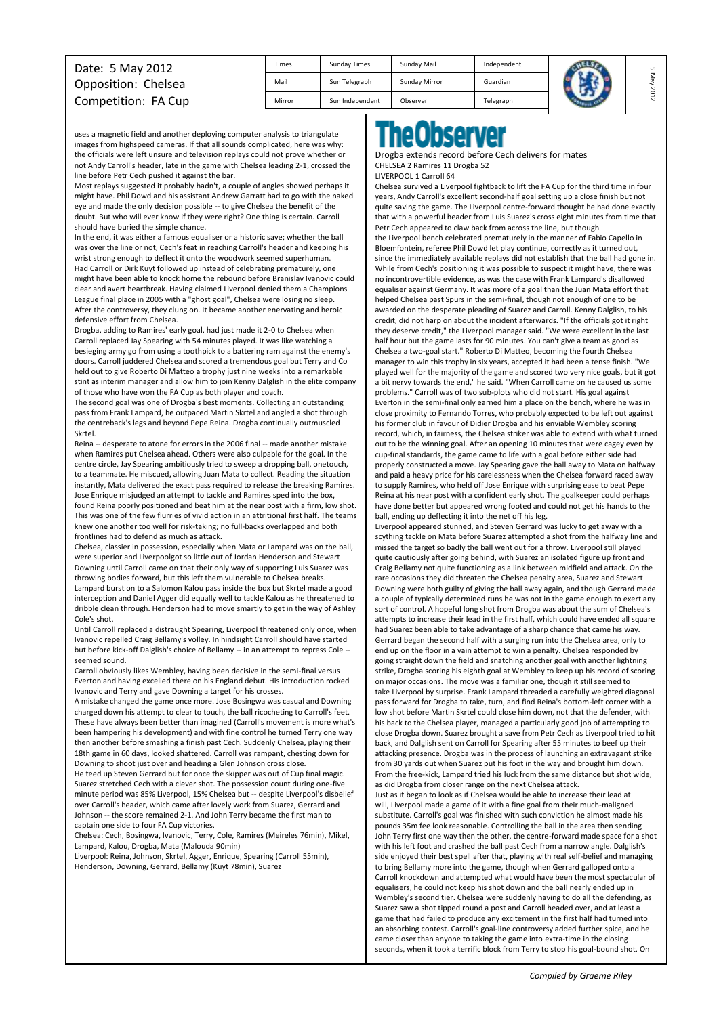| Date: 5 May 2012    | Times  | Sunday Times    | Sundav Mail   | Independent | S |
|---------------------|--------|-----------------|---------------|-------------|---|
| Opposition: Chelsea | Mail   | Sun Telegraph   | Sunday Mirror | Guardian    |   |
| Competition: FA Cup | Mirror | Sun Independent | Observer      | Telegraph   | N |

uses a magnetic field and another deploying computer analysis to triangulate images from highspeed cameras. If that all sounds complicated, here was why: the officials were left unsure and television replays could not prove whether or not Andy Carroll's header, late in the game with Chelsea leading 2-1, crossed the line before Petr Cech pushed it against the bar.

Most replays suggested it probably hadn't, a couple of angles showed perhaps it might have. Phil Dowd and his assistant Andrew Garratt had to go with the naked eye and made the only decision possible -- to give Chelsea the benefit of the doubt. But who will ever know if they were right? One thing is certain. Carroll should have buried the simple chance.

In the end, it was either a famous equaliser or a historic save; whether the ball was over the line or not, Cech's feat in reaching Carroll's header and keeping his wrist strong enough to deflect it onto the woodwork seemed superhuman. Had Carroll or Dirk Kuyt followed up instead of celebrating prematurely, one might have been able to knock home the rebound before Branislav Ivanovic could clear and avert heartbreak. Having claimed Liverpool denied them a Champions League final place in 2005 with a "ghost goal", Chelsea were losing no sleep. After the controversy, they clung on. It became another enervating and heroic defensive effort from Chelsea.

Drogba, adding to Ramires' early goal, had just made it 2-0 to Chelsea when Carroll replaced Jay Spearing with 54 minutes played. It was like watching a besieging army go from using a toothpick to a battering ram against the enemy's doors. Carroll juddered Chelsea and scored a tremendous goal but Terry and Co held out to give Roberto Di Matteo a trophy just nine weeks into a remarkable stint as interim manager and allow him to join Kenny Dalglish in the elite company of those who have won the FA Cup as both player and coach.

The second goal was one of Drogba's best moments. Collecting an outstanding pass from Frank Lampard, he outpaced Martin Skrtel and angled a shot through the centreback's legs and beyond Pepe Reina. Drogba continually outmuscled Skrtel.

Reina -- desperate to atone for errors in the 2006 final -- made another mistake when Ramires put Chelsea ahead. Others were also culpable for the goal. In the centre circle, Jay Spearing ambitiously tried to sweep a dropping ball, onetouch, to a teammate. He miscued, allowing Juan Mata to collect. Reading the situation instantly, Mata delivered the exact pass required to release the breaking Ramires. Jose Enrique misjudged an attempt to tackle and Ramires sped into the box, found Reina poorly positioned and beat him at the near post with a firm, low shot. This was one of the few flurries of vivid action in an attritional first half. The teams knew one another too well for risk-taking; no full-backs overlapped and both frontlines had to defend as much as attack.

Chelsea, classier in possession, especially when Mata or Lampard was on the ball, were superior and Liverpoolgot so little out of Jordan Henderson and Stewart Downing until Carroll came on that their only way of supporting Luis Suarez was throwing bodies forward, but this left them vulnerable to Chelsea breaks. Lampard burst on to a Salomon Kalou pass inside the box but Skrtel made a good interception and Daniel Agger did equally well to tackle Kalou as he threatened to dribble clean through. Henderson had to move smartly to get in the way of Ashley Cole's shot.

Until Carroll replaced a distraught Spearing, Liverpool threatened only once, when Ivanovic repelled Craig Bellamy's volley. In hindsight Carroll should have started but before kick-off Dalglish's choice of Bellamy -- in an attempt to repress Cole seemed sound.

Carroll obviously likes Wembley, having been decisive in the semi-final versus Everton and having excelled there on his England debut. His introduction rocked Ivanovic and Terry and gave Downing a target for his crosses.

A mistake changed the game once more. Jose Bosingwa was casual and Downing charged down his attempt to clear to touch, the ball ricocheting to Carroll's feet. These have always been better than imagined (Carroll's movement is more what's been hampering his development) and with fine control he turned Terry one way then another before smashing a finish past Cech. Suddenly Chelsea, playing their 18th game in 60 days, looked shattered. Carroll was rampant, chesting down for Downing to shoot just over and heading a Glen Johnson cross close.

He teed up Steven Gerrard but for once the skipper was out of Cup final magic. Suarez stretched Cech with a clever shot. The possession count during one-five minute period was 85% Liverpool, 15% Chelsea but -- despite Liverpool's disbelief over Carroll's header, which came after lovely work from Suarez, Gerrard and Johnson -- the score remained 2-1. And John Terry became the first man to captain one side to four FA Cup victories.

Chelsea: Cech, Bosingwa, Ivanovic, Terry, Cole, Ramires (Meireles 76min), Mikel, Lampard, Kalou, Drogba, Mata (Malouda 90min)

Liverpool: Reina, Johnson, Skrtel, Agger, Enrique, Spearing (Carroll 55min), Henderson, Downing, Gerrard, Bellamy (Kuyt 78min), Suarez

## **'heObserver**

Drogba extends record before Cech delivers for mates CHELSEA 2 Ramires 11 Drogba 52

LIVERPOOL 1 Carroll 64

Chelsea survived a Liverpool fightback to lift the FA Cup for the third time in four years, Andy Carroll's excellent second-half goal setting up a close finish but not quite saving the game. The Liverpool centre-forward thought he had done exactly that with a powerful header from Luis Suarez's cross eight minutes from time that Petr Cech appeared to claw back from across the line, but though the Liverpool bench celebrated prematurely in the manner of Fabio Capello in Bloemfontein, referee Phil Dowd let play continue, correctly as it turned out, since the immediately available replays did not establish that the ball had gone in. While from Cech's positioning it was possible to suspect it might have, there was no incontrovertible evidence, as was the case with Frank Lampard's disallowed equaliser against Germany. It was more of a goal than the Juan Mata effort that helped Chelsea past Spurs in the semi-final, though not enough of one to be awarded on the desperate pleading of Suarez and Carroll. Kenny Dalglish, to his credit, did not harp on about the incident afterwards. "If the officials got it right they deserve credit," the Liverpool manager said. "We were excellent in the last half hour but the game lasts for 90 minutes. You can't give a team as good as Chelsea a two-goal start." Roberto Di Matteo, becoming the fourth Chelsea manager to win this trophy in six years, accepted it had been a tense finish. "We played well for the majority of the game and scored two very nice goals, but it got a bit nervy towards the end," he said. "When Carroll came on he caused us some problems." Carroll was of two sub-plots who did not start. His goal against Everton in the semi-final only earned him a place on the bench, where he was in close proximity to Fernando Torres, who probably expected to be left out against his former club in favour of Didier Drogba and his enviable Wembley scoring record, which, in fairness, the Chelsea striker was able to extend with what turned out to be the winning goal. After an opening 10 minutes that were cagey even by cup-final standards, the game came to life with a goal before either side had properly constructed a move. Jay Spearing gave the ball away to Mata on halfway and paid a heavy price for his carelessness when the Chelsea forward raced away to supply Ramires, who held off Jose Enrique with surprising ease to beat Pepe Reina at his near post with a confident early shot. The goalkeeper could perhaps have done better but appeared wrong footed and could not get his hands to the ball, ending up deflecting it into the net off his leg.

Liverpool appeared stunned, and Steven Gerrard was lucky to get away with a scything tackle on Mata before Suarez attempted a shot from the halfway line and missed the target so badly the ball went out for a throw. Liverpool still played quite cautiously after going behind, with Suarez an isolated figure up front and Craig Bellamy not quite functioning as a link between midfield and attack. On the rare occasions they did threaten the Chelsea penalty area, Suarez and Stewart Downing were both guilty of giving the ball away again, and though Gerrard made a couple of typically determined runs he was not in the game enough to exert any sort of control. A hopeful long shot from Drogba was about the sum of Chelsea's attempts to increase their lead in the first half, which could have ended all square had Suarez been able to take advantage of a sharp chance that came his way. Gerrard began the second half with a surging run into the Chelsea area, only to end up on the floor in a vain attempt to win a penalty. Chelsea responded by going straight down the field and snatching another goal with another lightning strike, Drogba scoring his eighth goal at Wembley to keep up his record of scoring on major occasions. The move was a familiar one, though it still seemed to take Liverpool by surprise. Frank Lampard threaded a carefully weighted diagonal pass forward for Drogba to take, turn, and find Reina's bottom-left corner with a low shot before Martin Skrtel could close him down, not that the defender, with his back to the Chelsea player, managed a particularly good job of attempting to close Drogba down. Suarez brought a save from Petr Cech as Liverpool tried to hit back, and Dalglish sent on Carroll for Spearing after 55 minutes to beef up their attacking presence. Drogba was in the process of launching an extravagant strike from 30 yards out when Suarez put his foot in the way and brought him down. From the free-kick, Lampard tried his luck from the same distance but shot wide, as did Drogba from closer range on the next Chelsea attack.

Just as it began to look as if Chelsea would be able to increase their lead at will, Liverpool made a game of it with a fine goal from their much-maligned substitute. Carroll's goal was finished with such conviction he almost made his pounds 35m fee look reasonable. Controlling the ball in the area then sending John Terry first one way then the other, the centre-forward made space for a shot with his left foot and crashed the ball past Cech from a narrow angle. Dalglish's side enjoyed their best spell after that, playing with real self-belief and managing to bring Bellamy more into the game, though when Gerrard galloped onto a Carroll knockdown and attempted what would have been the most spectacular of equalisers, he could not keep his shot down and the ball nearly ended up in Wembley's second tier. Chelsea were suddenly having to do all the defending, as Suarez saw a shot tipped round a post and Carroll headed over, and at least a game that had failed to produce any excitement in the first half had turned into an absorbing contest. Carroll's goal-line controversy added further spice, and he came closer than anyone to taking the game into extra-time in the closing seconds, when it took a terrific block from Terry to stop his goal-bound shot. On